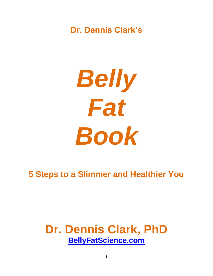# **Dr. Dennis Clark's**

*Belly Fat Book*

# **5 Steps to a Slimmer and Healthier You**

# **Dr. Dennis Clark, PhD [BellyFatScience.com](http://thedietpillsreview.com/)**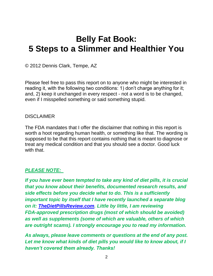# **Belly Fat Book: 5 Steps to a Slimmer and Healthier You**

© 2012 Dennis Clark, Tempe, AZ

Please feel free to pass this report on to anyone who might be interested in reading it, with the following two conditions: 1) don't charge anything for it; and, 2) keep it unchanged in every respect - not a word is to be changed, even if I misspelled something or said something stupid.

#### **DISCLAIMER**

The FDA mandates that I offer the disclaimer that nothing in this report is worth a hoot regarding human health, or something like that. The wording is supposed to be that this report contains nothing that is meant to diagnose or treat any medical condition and that you should see a doctor. Good luck with that.

# *PLEASE NOTE:*

*If you have ever been tempted to take any kind of diet pills, it is crucial that you know about their benefits, documented research results, and side effects before you decide what to do. This is a sufficiently important topic by itself that I have recently launched a separate blog on it: [TheDietPillsReview.com.](http://thedietpillsreview.com/) Little by little, I am reviewing FDA-approved prescription drugs (most of which should be avoided) as well as supplements (some of which are valuable, others of which are outright scams). I strongly encourage you to read my information.*

*As always, please leave comments or questions at the end of any post. Let me know what kinds of diet pills you would like to know about, if I haven't covered them already. Thanks!*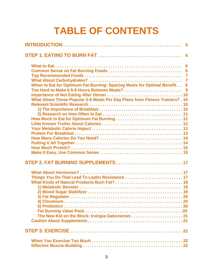# **TABLE OF CONTENTS**

| When to Eat for Optimum Fat Burning: Spacing Meals for Optimal Benefit 8     |  |
|------------------------------------------------------------------------------|--|
|                                                                              |  |
|                                                                              |  |
| What About Those Popular 5-6 Meals Per Day Plans from Fitness Trainers? . 10 |  |
|                                                                              |  |
|                                                                              |  |
|                                                                              |  |
|                                                                              |  |
|                                                                              |  |
|                                                                              |  |
|                                                                              |  |
|                                                                              |  |
|                                                                              |  |
|                                                                              |  |
|                                                                              |  |
|                                                                              |  |
| STEP 2. FAT BURNING SUPPLEMENTS  17                                          |  |
|                                                                              |  |
| Things You Do That Lead To Leptin Resistance  17                             |  |
|                                                                              |  |
|                                                                              |  |
|                                                                              |  |
|                                                                              |  |
|                                                                              |  |
|                                                                              |  |
|                                                                              |  |
|                                                                              |  |
|                                                                              |  |
|                                                                              |  |
|                                                                              |  |
|                                                                              |  |
|                                                                              |  |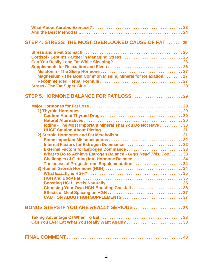| STEP 4. STRESS: THE MOST OVERLOOKED CAUSE OF FAT  25                                                                                                                                                                                                                      |  |
|---------------------------------------------------------------------------------------------------------------------------------------------------------------------------------------------------------------------------------------------------------------------------|--|
| Cortisol - Leptin's Partner in Managing Stress  25<br>Magnesium - The Most Common Missing Mineral for Relaxation 27                                                                                                                                                       |  |
| STEP 5. HORMONE BALANCE FOR FAT LOSS  29                                                                                                                                                                                                                                  |  |
| Iodine - The Most Important Mineral That You Do Not Have 30<br>Internal Factors for Estrogen Dominance 32<br>External Factors for Estrogen Dominance33<br>What to Do to Achieve Estrogen Balance - Guys Read This, Too! 33<br>Choosing Your Own HGH-Boosting Cocktail  36 |  |
| BONUS STEPS IF YOU ARE REALLY SERIOUS 38                                                                                                                                                                                                                                  |  |
|                                                                                                                                                                                                                                                                           |  |
|                                                                                                                                                                                                                                                                           |  |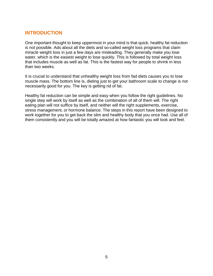## **INTRODUCTION**

One important thought to keep uppermost in your mind is that quick, healthy fat reduction is not possible. Ads about all the diets and so-called weight loss programs that claim miracle weight loss in just a few days are misleading. They generally make you lose water, which is the easiest weight to lose quickly. This is followed by total weight loss that includes muscle as well as fat. This is the fastest way for people to shrink in less than two weeks.

It is crucial to understand that unhealthy weight loss from fad diets causes you to lose muscle mass. The bottom line is, dieting just to get your bathroom scale to change is not necessarily good for you. The key is getting rid of fat.

Healthy fat reduction can be simple and easy when you follow the right guidelines. No single step will work by itself as well as the combination of all of them will. The right eating plan will not suffice by itself, and neither will the right supplements, exercise, stress management, or hormone balance. The steps in this report have been designed to work together for you to get back the slim and healthy body that you once had. Use all of them consistently and you will be totally amazed at how fantastic you will look and feel.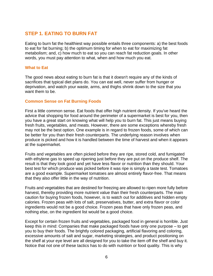## **STEP 1. EATING TO BURN FAT**

Eating to burn fat the healthiest way possible entails three components: a) the best foods to eat for fat burning; b) the optimum timing for when to eat for maximizing fat metabolism; and, c) how much to eat so you can reach fat reduction goals. In other words, you must pay attention to what, when and how much you eat.

#### **What to Eat**

The good news about eating to burn fat is that it doesn't require any of the kinds of sacrifices that typical diet plans do. You can eat well, never suffer from hunger or deprivation, and watch your waste, arms, and thighs shrink down to the size that you want them to be.

#### **Common Sense on Fat Burning Foods**

First a little common sense. Eat foods that offer high nutrient density. If you've heard the advice that shopping for food around the perimeter of a supermarket is best for you, then you have a great start on knowing what will help you to burn fat. This just means buying fresh fruits, vegetables, and meats. However, there are some exceptions whereby fresh may not be the best option. One example is in regard to frozen foods, some of which can be better for you than their fresh counterparts. The underlying reason involves when produce is picked and how it is handled between the time of harvest and when it appears at the supermarket.

Fruits and vegetables are often picked before they are ripe, stored cold, and fumigated with ethylene gas to speed up ripening just before they are put on the produce shelf. The result is that they look good and yet have less flavor or nutrition than they should. Your best test for which produce was picked before it was ripe is simply a taste test. Tomatoes are a good example. Supermarket tomatoes are almost entirely flavor-free. That means that they also offer little in the way of nutrition.

Fruits and vegetables that are destined for freezing are allowed to ripen more fully before harvest, thereby providing more nutrient value than their fresh counterparts. The main caution for buying frozen foods, however, is to watch out for additives and hidden empty calories. Frozen peas with lots of salt, preservatives, butter, and extra flavor or color ingredients would not be a good choice. Frozen peas that have only frozen peas, and nothing else, on the ingredient list would be a good choice.

Except for certain frozen fruits and vegetables, packaged food in general is horrible. Just keep this in mind: Companies that make packaged foods have only one purpose – to get you to buy their foods. The brightly colored packaging, artificial flavoring and coloring, excessive amounts of salt and sugar, marketing strategies, and product positioning on the shelf at your eye level are all designed for you to take the item off the shelf and buy it. Notice that not one of these tactics has to do with nutrition or food quality. This is why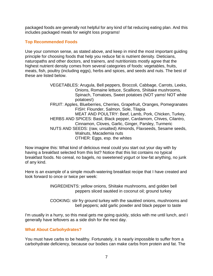packaged foods are generally not helpful for any kind of fat reducing eating plan. And this includes packaged meals for weight loss programs!

#### **Top Recommended Foods**

Use your common sense, as stated above, and keep in mind the most important guiding principle for choosing foods that help you reduce fat is nutrient density. Dieticians, naturopaths and other doctors, and trainers, and nutritionists mostly agree that the highest nutrient density comes from several categories of foods: vegetables, fruits, meats, fish, poultry (including eggs), herbs and spices, and seeds and nuts. The best of these are listed below.

> VEGETABLES: Arugula, Bell peppers, Broccoli, Cabbage, Carrots, Leeks, Onions, Romaine lettuce, Scallions, Shiitake mushrooms, Spinach, Tomatoes, Sweet potatoes (NOT yams! NOT white potatoes!) FRUIT: Apples, Blueberries, Cherries, Grapefruit, Oranges, Pomegranates FISH: Flounder, Salmon, Sole, Tilapia MEAT AND POULTRY: Beef, Lamb, Pork, Chicken, Turkey, HERBS AND SPICES: Basil, Black pepper, Cardamom, Chives, Cilantro, Cinnamon, Cloves, Garlic, Ginger, Parsley, Turmeric NUTS AND SEEDS: (raw, unsalted) Almonds, Flaxseeds, Sesame seeds, Walnuts, Macademia nuts OTHER: Eggs, esp. the whites

Now imagine this: What kind of delicious meal could you start out your day with by having a breakfast selected from this list? Notice that this list contains no typical breakfast foods. No cereal, no bagels, no sweetened yogurt or low-fat anything, no junk of any kind.

Here is an example of a simple mouth-watering breakfast recipe that I have created and look forward to once or twice per week:

> INGREDIENTS: yellow onions, Shiitake mushrooms, and golden bell peppers sliced sautéed in coconut oil; ground turkey

COOKING: stir fry ground turkey with the sautéed onions, mushrooms and bell peppers; add garlic powder and black pepper to taste

I'm usually in a hurry, so this meal gets me going quickly, sticks with me until lunch, and I generally have leftovers as a side dish for the next day.

#### **What About Carbohydrates?**

You must have carbs to be healthy. Fortunately, it is nearly impossible to suffer from a carbohydrate deficiency, because our bodies can make carbs from protein and fat. The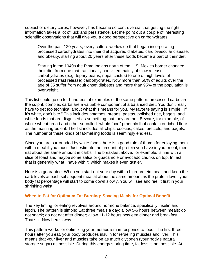subject of dietary carbs, however, has become so controversial that getting the right information takes a lot of luck and persistence. Let me point out a couple of interesting scientific observations that will give you a good perspective on carbohydrates:

Over the past 120 years, every culture worldwide that began incorporating processed carbohydrates into their diet acquired diabetes, cardiovascular disease, and obesity, starting about 20 years after these foods became a part of their diet

Starting in the 1940s the Pima Indians north of the U.S. Mexico border changed their diet from one that traditionally consisted mainly of slow release carbohydrates (e..g, tepary beans, nopal cactus) to one of high levels of processed (fast release) carbohydrates. Now more than 50% of adults over the age of 35 suffer from adult onset diabetes and more than 95% of the population is overweight.

This list could go on for hundreds of examples of the same pattern: processed carbs are the culprit; complex carbs are a valuable component of a balanced diet. You don't really have to get too technical about what this means for you. My favorite saying is simple, "If it's white, don't bite." This includes potatoes, breads, pastas, polished rice, bagels, and white foods that are disguised as something that they are not. Beware, for example, of whole wheat bread and other so-called "whole food" products that contain enriched flour as the main ingredient. The list includes all chips, cookies, cakes, pretzels, and bagels. The number of these kinds of fat-making foods is seemingly endless.

Since you are surrounded by white foods, here is a good rule of thumb for enjoying them with a meal if you must: Just estimate the amount of protein you have in your meal, then eat about the same amount in carbs. The breakfast above, for example, is fine with a slice of toast and maybe some salsa or guacamole or avocado chunks on top. In fact, that is generally what I have with it, which makes it even tastier.

Here is a guarantee: When you start out your day with a high-protein meal, and keep the carb levels at each subsequent meal at about the same amount as the protein level, your body fat percentage will start to come down slowly. You will see and feel it first in your shrinking waist.

#### **When to Eat for Optimum Fat Burning: Spacing Meals for Optimal Benefit**

The key timing for eating revolves around hormone balance, specifically insulin and leptin. The pattern is simple: Eat three meals a day; allow 5-6 hours between meals; do not snack; do not eat after dinner; allow 11-12 hours between dinner and breakfast. That's it. Now here's why.

This pattern works for optimizing your metabolism in response to food. The first three hours after you eat, your body produces insulin for refueling muscles and liver. This means that your liver and muscles take on as much glycogen (your body's natural storage sugar) as possible. During this energy storing time, fat loss is not possible. At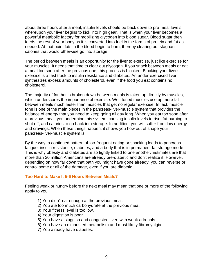about three hours after a meal, insulin levels should be back down to pre-meal levels, whereupon your liver begins to kick into high gear. That is when your liver becomes a powerful metabolic factory for mobilizing glycogen into blood sugar. Blood sugar then feeds the rest of your body as it is converted into fuel in the forms of protein and fat as needed. At that point fats in the blood begin to burn, thereby clearing out stagnant calories that would otherwise go into storage.

The period between meals is an opportunity for the liver to exercise, just like exercise for your muscles. It needs that time to clear out glycogen. If you snack between meals or eat a meal too soon after the previous one, this process is blocked. Blocking your liver's exercise is a fast track to insulin resistance and diabetes. An under-exercised liver synthesizes excess amounts of cholesterol, even if the food you eat contains no cholesterol.

The majority of fat that is broken down between meals is taken up directly by muscles, which underscores the importance of exercise. Well-toned muscles use up more fat between meals much faster than muscles that get no regular exercise. In fact, muscle tone is one of the main pieces in the pancreas-liver-muscle system that provides the balance of energy that you need to keep going all day long. When you eat too soon after a previous meal, you undermine this system, causing insulin levels to rise, fat burning to shut off, and calories to go back into storage. In addition, you will suffer from low energy and cravings. When these things happen, it shows you how out of shape your pancreas-liver-muscle system is.

By the way, a continued pattern of too-frequent eating or snacking leads to pancreas fatigue, insulin resistance, diabetes, and a body that is in permanent fat storage mode. This is why obesity and diabetes are so tightly linked to one another. Estimates are that more than 20 million Americans are already pre-diabetic and don't realize it. However, depending on how far down that path you might have gone already, you can reverse or control some or all of the damage, even if you are diabetic.

#### **Too Hard to Make It 5-6 Hours Between Meals?**

Feeling weak or hungry before the next meal may mean that one or more of the following apply to you:

- 1) You didn't eat enough at the previous meal.
- 2) You ate too much carbohydrate at the previous meal.
- 3) Your fitness level is too low.
- 4) Your digestion is poor.
- 5) You have a sluggish and congested liver, with weak adrenals.
- 6) You have an exhausted metabolism and most likely fibromyalgia.
- 7) You already have diabetes.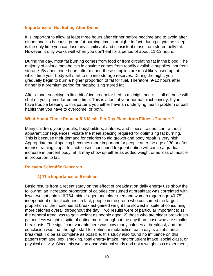#### **Importance of Not Eating After Dinner**

It is important to allow at least three hours after dinner before bedtime and to avoid after dinner snacks because prime fat-burning time is at night. In fact, during nighttime sleep is the only time you can lose any significant and consistent mass from stored belly fat. However, it only works well when you don't eat for a period of about 11-12 hours.

During the day, most fat burning comes from food or from circulating fat in the blood. The majority of caloric metabolism in daytime comes from readily available supplies, not from storage. By about nine hours after dinner, these supplies are most likely used up, at which time your body will start to dip into storage reserves. During the night, you gradually begin to burn a higher proportion of fat for fuel. Therefore, 9-12 hours after dinner is a premium period for metabolizing stored fat.

After-dinner snacking, a little bit of ice cream for bed, a midnight snack ... all of these will shut off your prime fat-burning time. This is a fact of your normal biochemistry. If you have trouble keeping to this pattern, you either have an underlying health problem or bad habits that you have to overcome, or both.

#### **What About Those Popular 5-6 Meals Per Day Plans from Fitness Trainers?**

Many children, young adults, bodybuilders, athletes, and fitness trainers can, without apparent consequences, violate the meal spacing required for optimizing fat burning. This is because their demand for calories to aid growth and body repair is very high. Appropriate meal spacing becomes more important for people after the age of 30 or after intense training stops. In such cases, continued frequent eating will cause a gradual increase in percent body fat. It may show up either as added weight or as loss of muscle in proportion to fat.

#### **Relevant Scientific Research**

#### **1) The Importance of Breakfast**

Basic results from a recent study on the effect of breakfast on daily energy use show the following: an increased proportion of calories consumed at breakfast was correlated with lower weight gain in 6,764 middle-aged and older men and women (age range 40-75), independent of total calories. In fact, people in the group who consumed the largest proportion of their calories at breakfast gained weight the slowest in spite of consuming more calories overall throughout the day. Two results were of particular importance: 1) the general trend was to gain weight as people aged; 2) those who ate bigger breakfasts gained less weight in spite of eating more throughout the day than those who ate smaller breakfasts. The significant variable here was how many calories at breakfast, and the conclusion was that the right start for optimum metabolism each day is a substantial breakfast. To be as complete as possible, this study also found no influence on this pattern from age, sex, smoking, total energy intake, macronutrient intake, social class, or physical activity. Since this was an observational study and not a weight loss experiment,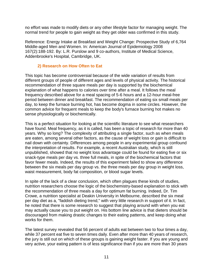no effort was made to modify diets or any other lifestyle factor for managing weight. The normal trend for people to gain weight as they get older was confirmed in this study.

Reference: Energy Intake at Breakfast and Weight Change: Prospective Study of 6,764 Middle-aged Men and Women. In: American Journal of Epidemiology 2008 167(2):188-192. By: L.R. Purslow and 9 co-authors, Institute of Medical Science, Addenbrooke's Hospital, Cambridge, UK.

#### **2) Research on How Often to Eat**

This topic has become controversial because of the wide variation of results from different groups of people of different ages and levels of physical activity. The historical recommendation of three square meals per day is supported by the biochemical explanation of what happens to calories over time after a meal. It follows the meal frequency described above for a meal spacing of 5-6 hours and a 12-hour meal-free period between dinner and breakfast. The recommendation of eating six small meals per day, to keep the furnace burning hot, has become dogma in some circles. However, the common advice for frequent meals to keep the body's furnace burning hot makes no sense physiologically or biochemically.

This is a perfect situation for looking at the scientific literature to see what researchers have found. Meal frequency, as it is called, has been a topic of research for more than 40 years. Why so long? The complexity of attributing a single factor, such as when meals are eaten, among several other factors, as the cause of weight loss or gain is difficult to nail down with certainty. Differences among people in any experimental group confound the interpretation of results. For example, a recent Australian study, which is still unpublished, showed that no weight loss advantage could be found for eating five or six snack-type meals per day vs. three full meals, in spite of the biochemical factors that favor fewer meals. Indeed, the results of this experiment failed to show any difference between the six meals per day group vs. the three meals per day group in weight loss, waist measurement, body fat composition, or blood sugar levels.

In spite of the lack of a clear conclusion, which often plagues these kinds of studies, nutrition researchers choose the logic of the biochemistry-based explanation to stick with the recommendation of three meals a day for optimum fat burning. Indeed, Dr. Tim Crowe, a nutrition specialist at Deakin University in Melbourne, described the six meal per day diet as a, "faddish dieting trend," with very little research in support of it. In fact, he noted that there is some research to suggest that playing around with when you eat may actually cause you to put weight on. His bottom line advice is that dieters should be discouraged from making drastic changes to their eating patterns, and keep doing what works for them.

The latest survey revealed that 56 percent of adults eat between two to four times a day, while 37 percent eat five to seven times daily. Even after more than 40 years of research, the jury is still out on which of these groups is gaining weight faster. If you are young and very active, your eating pattern is of less significance than if you are more than 30 years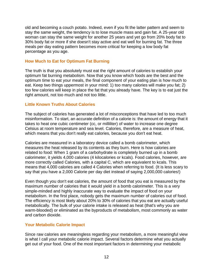old and becoming a couch potato. Indeed, even if you fit the latter pattern and seem to stay the same weight, the tendency is to lose muscle mass and gain fat. A 25-year old woman can stay the same weight for another 25 years and yet go from 20% body fat to 30% body fat or more if she doesn't stay active and eat well for burning fat. The three meals per day eating pattern becomes more critical for keeping a low body fat percentage as you age.

#### **How Much to Eat for Optimum Fat Burning**

The truth is that you absolutely must eat the right amount of calories to establish your optimum fat burning metabolism. Now that you know which foods are the best and the optimum time to eat your meals, the final component of your eating plan is how much to eat. Keep two things uppermost in your mind: 1) too many calories will make you fat; 2) too few calories will keep in place the fat that you already have. The key is to eat just the right amount, not too much and not too little.

#### **Little Known Truths About Calories**

The subject of calories has generated a lot of misconceptions that have led to too much misinformation. To start, an accurate definition of a calorie is: the amount of energy that it takes to heat one cubic centimeter (cc, or milliliter) of water to increase one degree Celsius at room temperature and sea level. Calories, therefore, are a measure of heat, which means that you don't really eat calories, because you don't eat heat.

Calories are measured in a laboratory device called a bomb calorimeter, which measures the heat released by its contents as they burn. Here is how calories are related to food: When 1 gram of a carbohydrate is completely burned up in a bomb calorimeter, it yields 4,000 calories (4 kilocalories or kcals). Food calories, however, are more correctly called Calories, with a capital C, which are equivalent to kcals. This means that 4,000 calories are called 4 Calories when referring to food. (It is less scary to say that you have a 2,000 Calorie per day diet instead of saying 2,000,000 calories!)

Even though you don't eat calories, the amount of food that you eat is measured by the maximum number of calories that it would yield in a bomb calorimeter. This is a very simple-minded and highly inaccurate way to evaluate the impact of food on your metabolism. In the first place, nobody gets the maximum number of calories out of food. The efficiency is most likely about 20% to 30% of calories that you eat are actually useful metabolically. The bulk of your calorie intake is released as heat (that's why you are warm-blooded) or eliminated as the byproducts of metabolism, most commonly as water and carbon dioxide.

#### **Your Metabolic Calorie Impact**

Since raw calories are meaningless regarding your metabolism, a more meaningful view is what I call your metabolic calorie impact. Several factors determine what you actually get out of your food. One of the most important factors in determining your metabolic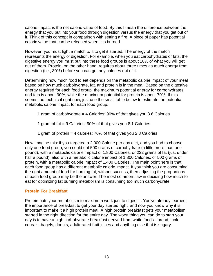calorie impact is the net caloric value of food. By this I mean the difference between the energy that you put into your food through digestion versus the energy that you get out of it. Think of this concept in comparison with setting a fire. A piece of paper has potential caloric value that can be released when it is burned.

However, you must light a match to it to get it started. The energy of the match represents the energy of digestion. For example, when you eat carbohydrates or fats, the digestive energy you must put into these food groups is about 10% of what you will get out of them. Protein, on the other hand, requires about three times as much energy from digestion (i.e., 30%) before you can get any calories out of it.

Determining how much food to eat depends on the metabolic calorie impact of your meal based on how much carbohydrate, fat, and protein is in the meal. Based on the digestive energy required for each food group, the maximum potential energy for carbohydrates and fats is about 90%, while the maximum potential for protein is about 70%. If this seems too technical right now, just use the small table below to estimate the potential metabolic calorie impact for each food group:

- 1 gram of carbohydrate = 4 Calories; 90% of that gives you 3.6 Calories
- 1 gram of fat = 9 Calories; 90% of that gives you 8.1 Calories
- 1 gram of protein = 4 calories; 70% of that gives you 2.8 Calories

Now imagine this: if you targeted a 2,000 Calorie per day diet, and you had to choose only one food group, you could eat 500 grams of carbohydrate (a little more than one pound), with a metabolic calorie impact of 1,800 Calories; or 222 grams of fat (just under half a pound), also with a metabolic calorie impact of 1,800 Calories; or 500 grams of protein, with a metabolic calorie impact of 1,400 Calories. The main point here is that each food group has a different metabolic calorie impact. If you think you are consuming the right amount of food for burning fat, without success, then adjusting the proportions of each food group may be the answer. The most common flaw in deciding how much to eat for optimizing fat burning metabolism is consuming too much carbohydrate.

#### **Protein For Breakfast**

Protein puts your metabolism to maximum work just to digest it. You've already learned the importance of breakfast to get your day started right, and now you know why it is important to make it a high protein meal. A high protein breakfast gets your metabolism started in the right direction for the entire day. The worst thing you can do to start your day is to have a high carbohydrate breakfast derived from white foods - bread, junk cereals, bagels, donuts, adulterated fruit juices and anything else that is sugary.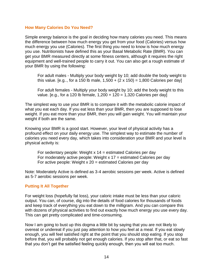#### **How Many Calories Do You Need?**

Simple energy balance is the goal in deciding how many calories you need. This means the difference between how much energy you get from your food (Calories) versus how much energy you use (Calories). The first thing you need to know is how much energy you use. Nutritionists have defined this as your Basal Metabolic Rate (BMR). You can get your BMR measured directly at some fitness centers, although it requires the right equipment and well-trained people to carry it out. You can also get a rough estimate of your BMR by using the following:

For adult males - Multiply your body weight by 10; add double the body weight to this value. [e.g.., for a 150 lb male,  $1,500 + (2 \times 150) = 1,800$  Calories per day]

For adult females - Multiply your body weight by 10; add the body weight to this value. [e.g., for a 120 lb female,  $1,200 + 120 = 1,320$  Calories per day]

The simplest way to use your BMR is to compare it with the metabolic calorie impact of what you eat each day. If you eat less than your BMR, then you are supposed to lose weight. If you eat more than your BMR, then you will gain weight. You will maintain your weight if both are the same.

Knowing your BMR is a good start. However, your level of physical activity has a profound effect on your daily energy use. The simplest way to estimate the number of calories you need every day, which takes into consideration your BMR and your level is physical activity is:

For sedentary people: Weight  $x$  14 = estimated Calories per day For moderately active people: Weight  $x$  17 = estimated Calories per day For active people: Weight  $x 20$  = estimated Calories per day

Note: Moderately Active is defined as 3-4 aerobic sessions per week. Active is defined as 5-7 aerobic sessions per week.

#### **Putting It All Together**

For weight loss (hopefully fat loss), your caloric intake must be less than your caloric output. You can, of course, dig into the details of food calories for thousands of foods and keep track of everything you eat down to the milligram. And you can compare this with dozens of physical activities to find out exactly how much energy you use every day. This can get pretty complicated and time-consuming.

Now I am going to bust up this dogma a little bit by saying that you are not likely to overeat or undereat if you just pay attention to how you feel at a meal. If you eat slowly enough, you will feel satisfied right at the point that you should stop eating. If you stop before that, you will probably not get enough calories. If you stop after that, or eat so fast that you don"t get the satisfied feeling quickly enough, then you will eat too much.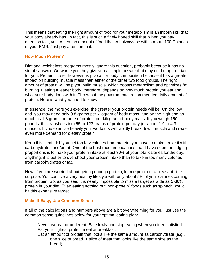This means that eating the right amount of food for your metabolism is an inborn skill that your body already has. In fact, this is such a finely honed skill that, when you pay attention to it, you will eat an amount of food that will always be within about 100 Calories of your BMR. Just pay attention to it.

#### **How Much Protein?**

Diet and weight loss programs mostly ignore this question, probably because it has no simple answer. Or, worse yet, they give you a simple answer that may not be appropriate for you. Protein intake, however, is pivotal for body composition because it has a greater impact on building muscle mass than either of the other two food groups. The right amount of protein will help you build muscle, which boosts metabolism and optimizes fat burning. Getting a leaner body, therefore, depends on how much protein you eat and what your body does with it. Throw out the governmental recommended daily amount of protein. Here is what you need to know.

In essence, the more you exercise, the greater your protein needs will be. On the low end, you may need only 0.8 grams per kilogram of body mass, and on the high end as much as 1.8 grams or more of protein per kilogram of body mass. If you weigh 150 pounds, this translates into 55 to 123 grams of protein per day (or about 1.9 to 4.3 ounces). If you exercise heavily your workouts will rapidly break down muscle and create even more demand for dietary protein.

Keep this in mind: If you get too few calories from protein, you have to make up for it with carbohydrates and/or fat. One of the best recommendations that I have seen for judging proportions is to make your protein intake at least 30% of your total calories for the day. If anything, it is better to overshoot your protein intake than to take in too many calories from carbohydrates or fat.

Now, if you are worried about getting enough protein, let me point out a pleasant little surprise. You can live a very healthy lifestyle with only about 5% of your calories coming from protein. So, as you see, it is nearly impossible to miss a target as wide as 5-30% protein in your diet. Even eating nothing but "non-protein" foods such as spinach would hit this expansive target.

#### **Make It Easy, Use Common Sense**

If all of the calculations and numbers above are a bit overwhelming for you, just use the common sense guidelines below for your optimal eating plan:

Never overeat or undereat. Eat slowly and stop eating when you feeo satisfied. Eat your highest protein meal at breakfast.

Eat an amount of protein that looks like the same amount as carbohydrate (e.g., one slice of bread, 1 slice of meat that looks like the same size as the bread).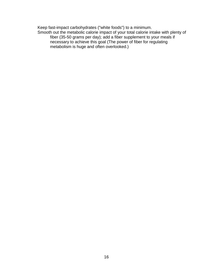Keep fast-impact carbohydrates ("white foods") to a minimum. Smooth out the metabolic calorie impact of your total calorie intake with plenty of fiber (35-50 grams per day); add a fiber supplement to your meals if necessary to achieve this goal (The power of fiber for regulating metabolism is huge and often overlooked.)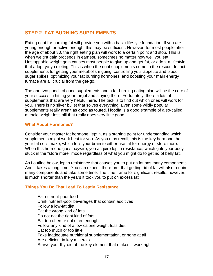# **STEP 2. FAT BURNING SUPPLEMENTS**

Eating right for burning fat will provide you with a basic lifestyle foundation. If you are young enough or active enough, this may be sufficient. However, for most people after the age of about 30, the right eating plan will work to a certain point and stop. This is when weight gain proceeds in earnest, sometimes no matter how well you eat. Unstoppable weight gain causes most people to give up and get fat, or adopt a lifestyle that adopt yo-yo dieting. This is when the right supplements come to the rescue. In fact, supplements for getting your metabolism going, controlling your appetite and blood sugar spikes, optimizing your fat burning hormones, and boosting your main energy furnace are all crucial from the get-go.

The one-two punch of good supplements and a fat-burning eating plan will be the core of your success in hitting your target and staying there. Fortunately, there a lots of supplements that are very helpful here. The trick is to find out which ones will work for you. There is no silver bullet that solves everything. Even some wildly popular supplements really aren't as good as touted. Hoodia is a good example of a so-called miracle weight-loss pill that really does very little good.

#### **What About Hormones?**

Consider your master fat hormone, leptin, as a starting point for understanding which supplements might work best for you. As you may recall, this is the key hormone that your fat cells make, which tells your brain to either use fat for energy or store more. When this hormone goes haywire, you acquire leptin resistance, which gets your body stuck in the "store more" mode regardless of what you might do to get rid of belly fat.

As I outline below, leptin resistance that causes you to put on fat has many components. And it takes a long time. You can expect, therefore, that getting rid of fat will also require many components and take some time. The time frame for significant results, however, is much shorter than the years it took you to put on excess fat.

#### **Things You Do That Lead To Leptin Resistance**

Eat nutrient-poor food Drink nutrient-poor beverages that contain additives Follow a low-fat diet Eat the wrong kind of fats Do not eat the right kind of fats Eat too often or not often enough Follow any kind of a low-calorie weight-loss diet Eat too much or too little Take inadequate nutritional supplementation, or none at all Are deficient in key minerals Starve your thyroid of the key element that makes it work right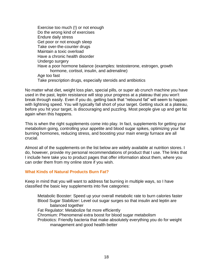Exercise too much (!) or not enough Do the wrong kind of exercises Endure daily stress Get poor or not enough sleep Take over-the-counter drugs Maintain a toxic overload Have a chronic health disorder Undergo surgery Have a poor hormone balance (examples: testosterone, estrogen, growth hormone, cortisol, insulin, and adrenaline) Age too fast Take prescription drugs, especially steroids and antibiotics

No matter what diet, weight loss plan, special pills, or super ab crunch machine you have used in the past, leptin resistance will stop your progress at a plateau that you won't break through easily. Even if you do, getting back that "rebound fat" will seem to happen with lightning speed. You will typically fall short of your target. Getting stuck at a plateau, before you hit your target, is discouraging and puzzling. Most people give up and get fat again when this happens.

This is when the right supplements come into play. In fact, supplements for getting your metabolism going, controlling your appetite and blood sugar spikes, optimizing your fat burning hormones, reducing stress, and boosting your main energy furnace are all crucial.

Almost all of the supplements on the list below are widely available at nutrition stores. I do, however, provide my personal recommendations of product that I use. The links that I include here take you to product pages that offer information about them, where you can order them from my online store if you wish.

#### **What Kinds of Natural Products Burn Fat?**

Keep in mind that you will want to address fat burning in multiple ways, so I have classified the basic key supplements into five categories:

Metabolic Booster: Speed up your overall metabolic rate to burn calories faster Blood Sugar Stabilizer: Level out sugar surges so that insulin and leptin are balanced together Fat Regulator: Metabolize fat more efficiently Chromium: Phenomenal extra boost for blood sugar metabolism Probiotics: Friendly bacteria that make absolutely everything you do for weight management and good health better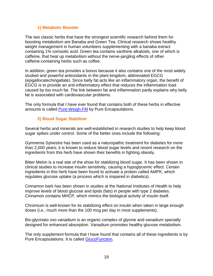#### **1) Metabolic Booster**

The two classic herbs that have the strongest scientific research behind them for boosting metabolism are Banaba and Green Tea. Clinical research shows healthy weight management in human volunteers supplementing with a banaba extract containing 1% corosolic acid. Green tea contains xanthine alkaloids, one of which is caffeine, that heat up metabolism without the nerve-jangling effects of other caffeine-containing herbs such as coffee.

In addition, green tea provides a bonus because it also contains one of the most widely studied and powerful antioxidants in the plant kingdom, abbreviated EGCG (epigallocatechingallate). Since belly fat acts like an inflammatory organ, the benefit of EGCG is to provide an anti-inflammatory effect that reduces the inflammation load caused by too much fat. The link between fat and inflammation partly explains why belly fat is associated with cardiovascular problems.

The only formula that I have ever found that contains both of these herbs in effective amounts is called [Pure-Weigh-FM](http://www.doctorsnutritioncenter.com/pure-weigh-fm.html) by Pure Encapsulations.

#### **2) Blood Sugar Stabilizer**

Several herbs and minerals are well-established in research studies to help keep blood sugar spikes under control. Some of the better ones include the following:

Gymnema Sylvestre has been used as a naturopathic treatment for diabetes for more than 2,000 years; it is known to reduce blood sugar levels and recent research on the ingredients from this herb have shown their benefits in fighting obesity.

Bitter Melon is a real star of the show for stabilizing blood sugar. It has been shown in clinical studies to increase insulin sensitivity, causing a hypoglycemic effect. Certain ingredients in this herb have been found to activate a protein called AMPK, which regulates glucose uptake (a process which is impaired in diabetics).

Cinnamon bark has been shown in studies at the National Institutes of Health to help improve levels of blood glucose and lipids (fats) in people with type 2 diabetes. Cinnamon contains MHCP, which mimics the biological activity of insulin itself.

Chromium is well-known for its stabilizing effect on insulin when taken in large enough doses (i.e., much more than the 100 mcg per day in most supplements).

Bis-glycinato oxo vanadium is an organic complex of glycine and vanadium specially designed for enhanced absorption. Vanadium promotes healthy glucose metabolism.

The only supplement formula that I have found that contains all of these ingredients is by Pure Encapsulations. It is called [GlucoFunction.](http://www.doctorsnutritioncenter.com/glucofunction.html)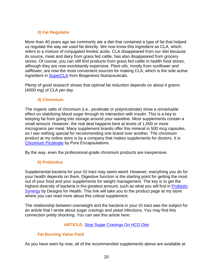### **3) Fat Regulator**

More than 40 years ago we commonly ate a diet that contained a type of fat that helped us regulate the way we used fat directly. We now know this ingredient as CLA, which refers to a mixture of conjugated linoleic acids. CLA disappeared from our diet because its source, meat and dairy from grass fed cattle, has also disappeared from grocery stores. Of course, you can still find products from grass fed cattle in health food stores, although they are now exorbitantly expensive. Plant oils, mostly from sunflower and safflower, are now the most convenient sources for making CLA, which is the sole active ingredient in [SuperCLA](http://www.doctorsnutritioncenter.com/super-cla.html) from Biogenesis Nutraceuticals.

Plenty of good research shows that optimal fat reduction depends on about 4 grams (4000 mg) of CLA per day.

#### **4) Chromium**

The organic salts of chromium (i.e., picolinate or polynicotinate) show a remarkable effect on stabilizing blood sugar through its interaction with insulin. This is a key to keeping fat from going into storage around your waistline. Most supplements contain a small amount. However, the real deal happens best at levels of 1,000 or more micrograms per meal. Many supplement brands offer this mineral in 500 mcg capsules, so I see nothing special for recommending one brand over another. The chromium product at my online store is by a company that makes supplements for doctors. It is [Chromium Picolinate](http://www.doctorsnutritioncenter.com/chromium-picolinate-500-mcg.html) by Pure Encapsulations.

By the way, even the professional-grade chromium products are inexpensive.

#### **5) Probiotics**

Supplemental bacteria for your GI tract may seem weird. However, everything you do for your health depends on them. Digestive function is the starting point for getting the most out of your food and your supplements for weight management. The key is to get the highest diversity of bacteria in the greatest amount, such as what you will find in [Probiotic](http://www.doctorsnutritioncenter.com/probiotic-synergy.html)  [Synergy](http://www.doctorsnutritioncenter.com/probiotic-synergy.html) by Designs for Health. This link will take you to the product page at my store where you can read more about this critical supplement.

The relationship between overweight and the bacteria in your GI tract was the subject for an article that I wrote about sugar cravings and yeast infections. You may find this connection pretty shocking. You can see this article here:

#### **ARTICLE:** [Stop Sugar Cravings On HCG Diet](http://besthcgweightloss.com/stop-sugar-cravings-on-hcg-diet/)

#### **Fat Burning Value Pack**

As you have seen by now, all of the recommended supplements above are available at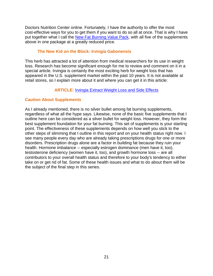Doctors Nutrition Center online. Fortunately, I have the authority to offer the most cost-effective ways for you to get them if you want to do so all at once. That is why I have put together what I call the [New Fat Burning Value Pack,](http://www.doctorsnutritioncenter.com/new-fat-burning-value-pack.html) with all five of the supplements above in one package at a greatly reduced price.

#### **The New Kid on the Block: Irvingia Gabonensis**

This herb has attracted a lot of attention from medical researchers for its use in weight loss. Research has become significant enough for me to review and comment on it in a special article. Irvingia is certainly the most exciting herb for weight loss that has appeared in the U.S. supplement market within the past 10 years. It is not available at retail stores, so I explain more about it and where you can get it in this article:

#### **ARTICLE:** [Irvingia Extract Weight Loss and Side Effects](http://bellyfatscience.com/irvingia-extract-weight-loss-and-side-effects/)

#### **Caution About Supplements**

As I already mentioned, there is no silver bullet among fat burning supplements, regardless of what all the hype says. Likewise, none of the basic five supplements that I outline here can be considered as a silver bullet for weight loss. However, they form the best supplement foundation for your fat burning. This set of supplements is your starting point. The effectiveness of these supplements depends on how well you stick to the other steps of slimming that I outline in this report and on your health status right now. I see many people every day who are already taking prescriptions drugs for one or more disorders. Prescription drugs alone are a factor in building fat because they ruin your health. Hormone imbalance -- especially estrogen dominance (men have it, too), testosterone deficiency (women have it, too), and growth hormone loss -- are all contributors to your overall health status and therefore to your body's tendency to either take on or get rid of fat. Some of these health issues and what to do about them will be the subject of the final step in this series.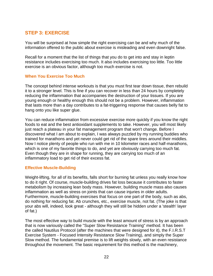# **STEP 3: EXERCISE**

You will be surprised at how simple the right exercising can be and why much of the information offered to the public about exercise is misleading and even downright false.

Recall for a moment that the list of things that you do to get into and stay in leptin resistance includes exercising too much. It also includes exercising too little. Too little exercise is an obvious factor, although too much exercise is not.

#### **When You Exercise Too Much**

The concept behind intense workouts is that you must first tear down tissue, then rebuild it to a stronger level. This is fine if you can recover in less than 24 hours by completely reducing the inflammation that accompanies the destruction of your tissues. If you are young enough or healthy enough this should not be a problem. However, inflammation that lasts more than a day contributes to a fat-triggering response that causes belly fat to hang onto you like super glue.

You can reduce inflammation from excessive exercise more quickly if you know the right foods to eat and the best antioxidant supplements to take. However, you will most likely just reach a plateau in your fat management program that won't change. Before I discovered what I am about to explain, I was always puzzled by my running buddies who trained for marathons and yet never could get rid of the spare tires around their middles. Now I notice plenty of people who run with me in 10 kilometer races and half-marathons, which is one of my favorite things to do, and yet are obviously carrying too much fat. Even though they are in shape for running, they are carrying too much of an inflammatory load to get rid of their excess fat.

#### **Effective Muscle-Building**

Weight-lifting, for all of its benefits, falls short for burning fat unless you really know how to do it right. Of course, muscle-building drives fat loss because it contributes to faster metabolism by increasing lean body mass. However, building muscle mass also causes inflammation as well as stress on joints that can cause injuries in older adults. Furthermore, muscle-building exercises that focus on one part of the body, such as abs, do nothing for reducing fat. Ab crunches, etc., exercise muscle, not fat. (The joke is that your abs will, indeed, look great - although they will still be hidden under a 'stealth' layer of fat.)

The most effective way to build muscle with the least amount of stress is by an approach that is now variously called the "Super Slow Resistance Training" method. It has been the called Nautilus Protocol (after the machines that were designed for it), the F.I.R.S.T Exercise System - Focused Intensity Resistance Slow Training), and simply the Super Slow method. The fundamental premise is to lift weights slowly, with an even resistance throughout the movement. The basic requirement for this method is the machinery,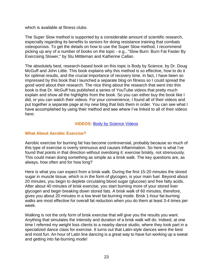which is available at fitness clubs.

The Super Slow method is supported by a considerable amount of scientific research, especially regarding its benefits to seniors for doing resistance training that combats osteoporosis. To get the details on how to use the Super Slow method, I recommend picking up any of a number of books on the topic - e.g., "Slow Burn: Burn Fat Faster By Exercising Slower," by Stu Mittleman and Katherine Callan.

The absolutely best, research-based book on this topic is Body by Science, by Dr. Doug McGuff and John Little. This book explains why this method is so effective, how to do it for optimal results, and the crucial importance of recovery time. In fact, I have been so impressed by this book that I launched a separate blog on fitness so I could spread the good word about their research. The nice thing about the research that went into this book is that Dr. McGuff has published a series of YouTube videos that pretty much explain and show all the highlights from the book. So you can either buy the book like I did, or you can watch their videos. For your convenience, I found all of their videos and put together a separate page at my new blog that lists them in order. You can see what I have accomplished by using their method and see where I've linked to all of their videos here:

#### **VIDEOS:** [Body by Science Videos](http://personalfitnessresearch.com/body-by-science-videos/)

#### **What About Aerobic Exercise?**

Aerobic exercise for burning fat has become controversial, probably because so much of this type of exercise is overly strenuous and causes inflammation. So here is what I've found that points in that direction without overdoing it: exercise briskly, not strenuously. This could mean doing something as simple as a brisk walk. The key questions are, as always, how often and for how long?

Here is what you can expect from a brisk walk. During the first 15-20 minutes the stored sugar in muscle tissue, which is in the form of glycogen, is your main fuel. Beyond about 20 minutes, you begin to deplete circulating blood sugar (glucose) and free fatty acids. After about 40 minutes of brisk exercise, you start burning more of your stored liver glycogen and begin breaking down stored fats. A brisk walk of 60 minutes, therefore, gives you about 20 minutes in a low level fat-burning mode. Brisk 1-hour fat-burning walks are most effective for overall fat reduction when you do them at least 3-4 times per week.

Walking is not the only form of brisk exercise that will give you the results you want. Anything that simulates the intensity and duration of a brisk walk will do. Indeed, at one time I referred my weight loss clients to a nearby dance studio, where they took part in a specialized dance class for exercise. It turns out that Latin-style dances were the best and most fun. An hour of Latin line dancing is a great way to have fun working up a sweat and getting into fat-burning mode!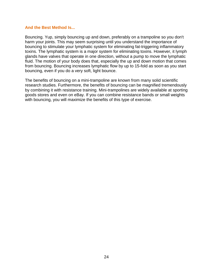#### **And the Best Method Is...**

Bouncing. Yup, simply bouncing up and down, preferably on a trampoline so you don't harm your joints. This may seem surprising until you understand the importance of bouncing to stimulate your lymphatic system for eliminating fat-triggering inflammatory toxins. The lymphatic system is a major system for eliminating toxins. However, it lymph glands have valves that operate in one direction, without a pump to move the lymphatic fluid. The motion of your body does that, especially the up and down motion that comes from bouncing. Bouncing increases lymphatic flow by up to 15-fold as soon as you start bouncing, even if you do a very soft, light bounce.

The benefits of bouncing on a mini-trampoline are known from many solid scientific research studies. Furthermore, the benefits of bouncing can be magnified tremendously by combining it with resistance training. Mini-trampolines are widely available at sporting goods stores and even on eBay. If you can combine resistance bands or small weights with bouncing, you will maximize the benefits of this type of exercise.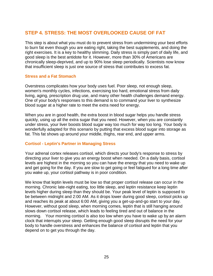# **STEP 4. STRESS: THE MOST OVERLOOKED CAUSE OF FAT**

This step is about what you must do to prevent stress from undermining your best efforts to burn fat even though you are eating right, taking the best supplements, and doing the right exercises. It is a key to healthy slimming. Daily stress is simply part of daily life, and good sleep is the best antidote for it. However, more than 30% of Americans are chronically sleep-deprived, and up to 90% lose sleep periodically. Scientists now know that insufficient sleep is just one source of stress that contributes to excess fat.

#### **Stress and a Fat Stomach**

Overstress complicates how your body uses fuel. Poor sleep, not enough sleep, women's monthly cycles, infections, exercising too hard, emotional stress from daily living, aging, prescription drug use, and many other health challenges demand energy. One of your body's responses to this demand is to command your liver to synthesize blood sugar at a higher rate to meet the extra need for energy.

When you are in good health, the extra boost in blood sugar helps you handle stress quickly, using up all the extra sugar that you need. However, when you are constantly under stress, your liver boosts blood sugar way too much for way too long. Your body is wonderfully adapted for this scenario by putting that excess blood sugar into storage as fat. This fat shows up around your middle, thighs, rear end, and upper arms.

#### **Cortisol - Leptin's Partner in Managing Stress**

Your adrenal cortex releases cortisol, which directs your body's response to stress by directing your liver to give you an energy boost when needed. On a daily basis, cortisol levels are highest in the morning so you can have the energy that you need to wake up and get going for the day. If you are slow to get going or feel fatigued for a long time after you wake up, your cortisol pathway is in poor condition.

We know that leptin levels must be low so that proper cortisol release can occur in the morning. Chronic late-night eating, too little sleep, and leptin resistance keep leptin levels higher during sleep than they should be. Your peak level of leptin is supposed to be between midnight and 2:00 AM. As it drops lower during good sleep, cortisol picks up and reaches its peak at about 6:00 AM, giving you a get-up-and-go start to your day. However, without good sleep, when morning comes, leptin that is still hanging around slows down cortisol release, which leads to feeling tired and out of balance in the morning. Your morning cortisol is also too low when you have to wake up by an alarm clock that interrupts your sleep. Getting enough good sleep disrupts the need for your body to handle overstress and enhances the balance of cortisol and leptin that you depend on to get you through the day.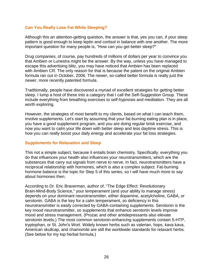#### **Can You Really Lose Fat While Sleeping?**

Although this an attention-getting question, the answer is that, yes you can, if your sleep pattern is good enough to keep leptin and cortisol in balance with one another. The more important question for many people is, "How can you get better sleep?"

Drug companies, of course, pay hundreds of millions of dollars per year to convince you that Ambien or Lunestra might be the answer. By the way, unless you have managed to escape this advertising blitz, you may have noticed that Ambien has been replaced with Ambien CR. The only reason for that is because the patent on the original Ambien formula ran out in October, 2006. The newer, so-called better formula is really just the newer, more recently patented formula.

Traditionally, people have discovered a myriad of excellent strategies for getting better sleep. I lump a host of these into a category that I call the Self-Suggestion Group. These include everything from breathing exercises to self-hypnosis and meditation. They are all worth exploring.

However, the strategies of most benefit to my clients, based on what I can teach them, involve supplements. Let's start by assuming that your fat-burning eating plan is in place, you have a good supplement program, and you are doing regular brisk exercise, and now you want to calm your life down with better sleep and less daytime stress. This is how you can really boost your daily energy and accelerate your fat loss strategies.

#### **Supplements for Relaxation and Sleep**

This not a simple subject, because it entails brain chemistry. Specifically, everything you do that influences your health also influences your neurotransmitters, which are the substances that carry out signals from nerve to nerve. In fact, neurotransmitters have a reciprocal relationship with hormones, which is also a complex subject. Fat-burning hormone balance is the topic for Step 5 of this series, so I will have much more to say about hormones then.

According to Dr. Eric Braverman, author of, "The Edge Effect: Revolutionary Brain-Mind-Body Science," your temperament (and your ability to manage stress) depends on your dominant neurotransmitter, either dopamine, acetylcholine, GABA, or serotonin. GABA is the key for a calm temperament, so deficiency in this neurotransmitter is easily corrected by GABA-containing supplements. Serotonin is the key mood neurotransmitter, so supplements that enhance serotonin levels improve mood and stress management. (Prozac and other antidepressants also elevate serotonin levels.) The most common serotonin-enhancing supplements contain 5-HTP, tryptophan, or St. John's Wort. Widely known herbs such as valerian, hops, kava kava, American skullcap, and chamomile are still the worldwide standards for relaxant herbs. (See below for my top herbal formula.)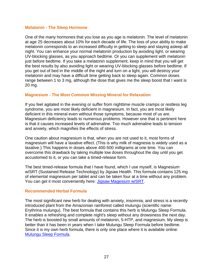#### **Melatonin - The Sleep Hormone**

One of the many hormones that you lose as you age is melatonin. The level of melatonin at age 25 decreases about 10% for each decade of life. The loss of your ability to make melatonin corresponds to an increased difficulty in getting to sleep and staying asleep all night. You can enhance your normal melatonin production by avoiding light, or wearing UV-blocking glasses, as you approach bedtime. Or you can supplement with melatonin just before bedtime. If you take a melatonin supplement, keep in mind that you will get the best results by also avoiding light or wearing UV-blocking glasses before bedtime. If you get out of bed in the middle of the night and turn on a light, you will destroy your melatonin and may have a difficult time getting back to sleep again. Common doses range between 1 to 3 mg, although the dose that gives me the sleep boost that I want is 20 mg.

#### **Magnesium - The Most Common Missing Mineral for Relaxation**

If you feel agitated in the evening or suffer from nighttime muscle cramps or restless leg syndrome, you are most likely deficient in magnesium. In fact, you are most likely deficient in this mineral even without those symptoms, because most of us are. Magnesium deficiency leads to numerous problems. However one that is pertinent here is that it causes increased levels of adrenaline. Too much adrenaline leads to tension and anxiety, which magnifies the effects of stress.

One caution about magnesium is that, when you are not used to it, most forms of magnesium will have a laxative effect. (This is why milk of magnesia is widely used as a laxative.) This happens in doses above 400-500 milligrams at one time. You can overcome this drawback by taking multiple low doses throughout the day until you get accustomed to it, or you can take a timed-release form.

The best timed-release formula that I have found, which I use myself, is Magnesium w/SRT (Sustained Release Technology) by Jigsaw Health. This formula contains 125 mg of elemental magnesium per tablet and can be taken four at a time without any problem. You can get it most conveniently here: [Jigsaw Magesium w/SRT.](http://www.doctorsnutritioncenter.com/jigsaw-magnesium-w-srt.html)

#### **Recommended Herbal Formula**

The most significant new herb for dealing with anxiety, insomnia, and stress is a recently introduced plant from the Amazonian rainforest called mulungu (scientific name: Erythrina mulungu). The best formula that contains this herb is Mulungu Sleep Formula. It enables a refreshing and complete night's sleep without any drowsiness the next day. The herb is boosted by small amounts of melatonin, 5-HTP, and magnesium. My sleep is better than it has been in years when I take Mulungu Sleep Formula before bedtime. Since it is my own herb formula, there is only one place where it is available online: [Mulungu Sleep Formula.](http://www.doctorsnutritioncenter.com/mulungu-sleep-formula.html)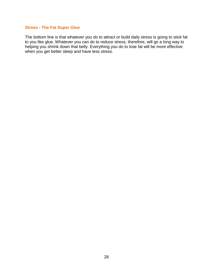#### **Stress - The Fat Super Glue**

The bottom line is that whatever you do to attract or build daily stress is going to stick fat to you like glue. Whatever you can do to reduce stress, therefore, will go a long way to helping you shrink down that belly. Everything you do to lose fat will be more effective when you get better sleep and have less stress.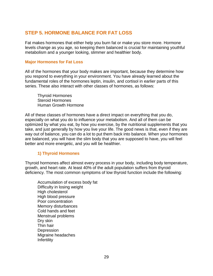# **STEP 5. HORMONE BALANCE FOR FAT LOSS**

Fat makes hormones that either help you burn fat or make you store more. Hormone levels change as you age, so keeping them balanced is crucial for maintaining youthful metabolism and a younger looking, slimmer and healthier body.

#### **Major Hormones for Fat Loss**

All of the hormones that your body makes are important, because they determine how you respond to everything in your environment. You have already learned about the fundamental roles of the hormones leptin, insulin, and cortisol in earlier parts of this series. These also interact with other classes of hormones, as follows:

Thyroid Hormones Steroid Hormones Human Growth Hormone

All of these classes of hormones have a direct impact on everything that you do, especially on what you do to influence your metabolism. And all of them can be optimized by what you eat, by how you exercise, by the nutritional supplements that you take, and just generally by how you live your life. The good news is that, even if they are way out of balance, you can do a lot to put them back into balance. When your hormones are balanced, you will have the slim body that you are supposed to have, you will feel better and more energetic, and you will be healthier.

#### **1) Thyroid Hormones**

Thyroid hormones affect almost every process in your body, including body temperature, growth, and heart rate. At least 40% of the adult population suffers from thyroid deficiency. The most common symptoms of low thyroid function include the following:

Accumulation of excess body fat Difficulty in losing weight High cholesterol High blood pressure Poor concentration Memory disturbances Cold hands and feet Menstrual problems Dry skin Thin hair **Depression** Migraine headaches Infertility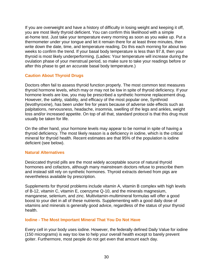If you are overweight and have a history of difficulty in losing weight and keeping it off, you are most likely thyroid deficient. You can confirm this likelihood with a simple at-home test. Just take your temperature every morning as soon as you wake up. Put a thermometer under your tongue and let it remain there for at least three minutes, then write down the date, time, and temperature reading. Do this each morning for about two weeks to confirm the trend. If your basal body temperature is less than 97.8, then your thyroid is most likely underperforming. (Ladies: Your temperature will increase during the ovulation phase of your menstrual period, so make sure to take your readings before or after this phase to get an accurate basal body temperature.)

#### **Caution About Thyroid Drugs**

Doctors often fail to assess thyroid function properly. The most common test measures thyroid hormone levels, which may or may not be low in spite of thyroid deficiency. If your hormone levels are low, you may be prescribed a synthetic hormone replacement drug. However, the safety, stability, and efficacy of the most popular one, Synthroid (levothyroxine), has been under fire for years because of adverse side effects such as palpitations, nervousness, headache, insomnia, swelling of the legs and ankles, weight loss and/or increased appetite. On top of all that, standard protocol is that this drug must usually be taken for life.

On the other hand, your hormone levels may appear to be normal in spite of having a thyroid deficiency. The most likely reason is a deficiency in iodine, which is the critical mineral for thyroid health. Recent estimates are that 95% of the population is iodine deficient (see below).

#### **Natural Alternatives**

Desiccated thyroid pills are the most widely acceptable source of natural thyroid hormones and cofactors, although many mainstream doctors refuse to prescribe them and instead still rely on synthetic hormones. Thyroid extracts derived from pigs are nevertheless available by prescription.

Supplements for thyroid problems include vitamin A, vitamin B complex with high levels of B-12, vitamin C, vitamin E, coenzyme Q-10, and the minerals magnesium, manganese, selenium, and zinc. Multivitamin-multimineral formulas will offer a good boost to your diet in all of these nutrients. Supplementing with a good daily dose of vitamins and minerals is generally good advice, regardless of the status of your thyroid health.

#### **Iodine - The Most Important Mineral That You Do Not Have**

Every cell in your body uses iodine. However, the federally defined Daily Value for iodine (150 micrograms) is way too low to help your overall health except to barely prevent goiter. Furthermore, most people do not get even that amount each day.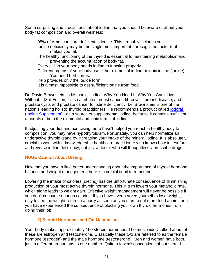Some surprising and crucial facts about iodine that you should be aware of about your body fat composition and overall wellness:

95% of Americans are deficient in iodine. This probably includes you. Iodine deficiency may be the single most important unrecognized factor that makes you fat.

The healthy functioning of the thyroid is essential to maintaining metabolism and preventing the accumulation of body fat.

Every cell in your body needs iodine to function properly.

Different organs of your body use either elemental iodine or ionic iodine (iodide). You need both forms.

Kelp provides only the iodide form.

It is almost impossible to get sufficient iodine from food.

Dr. David Brownstein, in his book, "Iodine: Why You Need It, Why You Can't Live Without It (3rd Edition)," also attributes breast cancer, fibrocystic breast disease, and prostate cysts and prostate cancer to iodine deficiency. Dr. Brownstein is one of the nation's leading holistic thyroid practitioners. He recommends a product called [Iodoral](http://herbscientist.com/iodoral-life-extension-foundation/)  [\(Iodine Supplement\)](http://herbscientist.com/iodoral-life-extension-foundation/) as a source of supplemental iodine, because it contains sufficient amounts of both the elemental and ionic forms of iodine.

If adjusting your diet and exercising more hasn't helped you reach a healthy body fat composition, you may have hypothyroidism. Fortunately, you can help normalize an underactive thyroid gland by increasing your intake of the mineral iodine. It is absolutely crucial to work with a knowledgeable healthcare practitioner who knows how to test for and reverse iodine deficiency, not just a doctor who will thoughtlessly prescribe drugs.

#### **HUGE Caution About Dieting**

Now that you have a little better understanding about the importance of thyroid hormone balance and weight management, here is a crucial tidbit to remember:

Lowering the intake of calories (dieting) has the unfortunate consequence of diminishing production of your most active thyroid hormone. This in turn lowers your metabolic rate, which alone leads to weight gain. Effective weight management will never be possible if you don't consume enough calories! If you have ever starved yourself to lose weight, only to see the weight return in a hurry as soon as you start to eat more food again, then you have experienced the consequence of blocking your own thyroid hormones from doing their job.

#### **2) Steroid Hormones and Fat Metabolism**

Your body makes approximately 150 steroid hormones. The most widely talked about of these are estrogen and testosterone. Classically these two are referred to as the female hormone (estrogen) and the male hormone (testosterone). Men and women have both, just in different proportions to one another. Quite a few misconceptions about steroid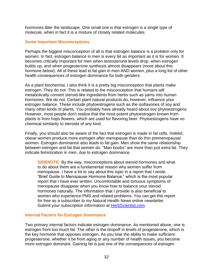hormones litter the landscape. One small one is that estrogen is a single type of molecule, when in fact it is a mixture of closely related molecules.

#### **Some Important Misconceptions**

Perhaps the biggest misconception of all is that estrogen balance is a problem only for women. In fact, estrogen balance in men is every bit as important as it is for women. It becomes critically important for men when testosterone levels drop, when estrogen builds up, and when progesterone synthesis almost disappears (more about this hormone below). All of these lead to fat gain in men AND women, plus a long list of other health consequences of estrogen dominance for both genders.

As a plant biochemist, I also think it is a pretty big misconception that plants make estrogen. They do not. This is related to the misconception that humans will metabolically convert steroid-like ingredients from herbs such as yams into human hormones. We do not. Certain plant natural products do, however, influence your estrogen balance. These include phytoestrogens such as the isoflavones of soy and many other kinds of plants. You probably have already heard about soy phytoestrogens. However, most people don't realize that the most potent phytoestrogen known from plants is from hops flowers, which are used for flavoring beer. Phytoestrogens have no chemical similarity to steroids of any kind.

Finally, you should also be aware of the fact that estrogen is made in fat cells. Indeed, obese women produce more estrogen after menopause than do thin premenopausal women. Estrogen dominance also leads to fat gain. Men show the same relationship between estrogen and fat that women do. "Man boobs" are more than just extra fat. They indicate feminization in men, due to estrogen dominance.

**SIDENOTE:** By the way, misconceptions about steroid hormones and what to do about them are a fundamental reason why women suffer from menopause. I have a lot to say about this topic in a report that I wrote, "Brief Guide to Menopause Hormone Balance," which is the most popular report that I have ever written. Uncomfortable and tortuous symptoms of menopause disappear when you know how to balance your steroid hormones naturally. The information that I provide is also beneficial to women who experience PMS and related problems. You can get this report for free as a subscriber to my Natural Health News online newsletter. Submit your subscription information at [HerbScientist.com.](http://herbscientist.com/)

#### **Internal Factors for Estrogen Dominance**

Two primary internal factors indicate estrogen dominance. As mentioned above, one is estrogen from too much fat. The other is the dropoff in levels of progesterone, which is the key hormone that opposes estrogen. As you lose the ability to make sufficient progesterone, whether it be from aging or any number of health issues, you become more estrogen dominant. Gaining fat is just one of the consequences of estrogen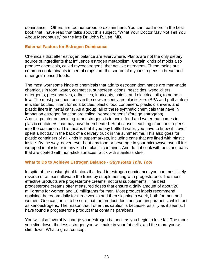dominance. Others are too numerous to explain here. You can read more in the best book that I have read that talks about this subject, "What Your Doctor May Not Tell You About Menopause," by the late Dr. John R. Lee, MD.

#### **External Factors for Estrogen Dominance**

Chemicals that alter estrogen balance are everywhere. Plants are not the only dietary source of ingredients that influence estrogen metabolism. Certain kinds of molds also produce chemicals, called mycoestrogens, that act like estrogens. These molds are common contaminants in cereal crops, are the source of mycoestrogens in bread and other grain-based foods.

The most worrisome kinds of chemicals that add to estrogen dominance are man-made chemicals in food, water, cosmetics, sunscreen lotions, pesticides, weed killers, detergents, preservatives, adhesives, lubricants, paints, and electrical oils, to name a few. The most prominent ones in the news recently are plasticizers (BPA and phthalates) in water bottles, infant formula bottles, plastic food containers, plastic dishware, and plastic liners in metal cans. As a group, all of these synthetic chemicals that have in impact on estrogen function are called "xenoestrogens" (foreign estrogens). A quick pointer on avoiding xenoestrogens is to avoid food and water that comes in plastic containers that may have been heated. Heat causes leaching of xenoestrogens into the containers. This means that if you buy bottled water, you have to know if it ever spent a hot day in the back of a delivery truck in the summertime. This also goes for plastic containers of all kinds in supermarkets, including cans that are lined with plastic inside. By the way, never, ever heat any food or beverage in your microwave oven if it is wrapped in plastic or in any kind of plastic container. And do not cook with pots and pans that are coated with non-stick surfaces. Stick with stainless steel.

#### **What to Do to Achieve Estrogen Balance -** *Guys Read This, Too!*

In spite of the onslaught of factors that lead to estrogen dominance, you can most likely reverse or at least alleviate the trend by supplementing with progesterone. The most effective products are progesterone creams, not oral supplements. The best progesterone creams offer measured doses that ensure a daily amount of about 20 milligrams for women and 10 milligrams for men. Most product labels recommend applying the cream daily for three weeks and then skipping a week, both for men and women. One caution is to be sure that the product does not contain parabens, which act as xenoestrogens. The reason that I offer this caution is because, as silly as it seems, I have found a progesterone product that contains parabens!

You will also favorably change your estrogen balance as you begin to lose fat. The more you slim down, the less estrogen you will make in your fat cells, and the more you will slim down. What a great concept!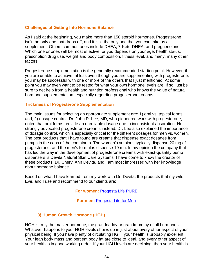#### **Challenges of Getting Into Hormone Balance**

As I said at the beginning, you make more than 150 steroid hormones. Progesterone isn't the only one that drops off, and it isn't the only one that you can take as a supplement. Others common ones include DHEA, 7-Keto-DHEA, and pregnenolone. Which one or ones will be most effective for you depends on your age, health status, prescription drug use, weight and body composition, fitness level, and many, many other factors.

Progesterone supplementation is the generally recommended starting point. However, if you are unable to achieve fat loss even though you are supplementing with progesterone, you may be successful with one or more of the others that I just mentioned. At some point you may even want to be tested for what your own hormone levels are. If so, just be sure to get help from a health and nutrition professional who knows the value of natural hormone supplementation, especially regarding progesterone creams.

#### **Trickiness of Progesterone Supplementation**

The main issues for selecting an appropriate supplement are: 1) oral vs. topical forms; and, 2) dosage control. Dr. John R. Lee, MD, who pioneered work with progesterone, noted that oral forms provide an unreliable dosage due to inconsistent absorption. He strongly advocated progesterone creams instead. Dr. Lee also explained the importance of dosage control, which is especially critical for the different dosages for men vs. women. The best products that I have found are creams that dispense exact dosages from pumps in the caps of the containers. The women's versions typically dispense 20 mg of progesterone, and the men's formulas dispense 10 mg. In my opinion the company that has led the way in the development of progesterone creams with exact-quantity pump dispensers is Devita Natural Skin Care Systems. I have come to know the creator of these products, Dr. Cheryl Ann Devita, and I am most impressed with her knowledge about hormone balance.

Based on what I have learned from my work with Dr. Devita, the products that my wife, Eve, and I use and recommend to our clients are:

**For women:** [Progesta Life PURE](http://www.doctorsnutritioncenter.com/progesta-life-pure-devita.html)

**For men:** [Progesta Life for Men](http://www.doctorsnutritioncenter.com/progesta-life-for-men-devita.html)

#### **3) Human Growth Hormone (HGH)**

HGH is truly the master hormone, the granddaddy or grandmommy of all hormones. Whatever happens to your HGH levels shows up in just about every other aspect of your physical being. If you have plenty of circulating HGH, your health is probably excellent. Your lean body mass and percent body fat are close to ideal, and every other aspect of your health is in good working order. If your HGH levels are declining, then your health is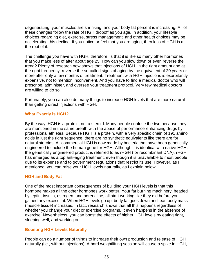degenerating, your muscles are shrinking, and your body fat percent is increasing. All of these changes follow the rate of HGH dropoff as you age. In addition, your lifestyle choices regarding diet, exercise, stress management, and other health choices may be accelerating this decline. If you notice or feel that you are aging, then loss of HGH is at the root of it.

The challenge you have with HGH, therefore, is that it is like so many other hormones that you make less of after about age 25. How can you slow down or even reverse the trend? Plenty of research now shows that injections of HGH, in the right amount and at the right frequency, reverse the so-called signs of aging by the equivalent of 20 years or more after only a few months of treatment. Treatment with HGH injections is exorbitantly expensive, not to mention inconvenient. And you have to find a medical doctor who will prescribe, administer, and oversee your treatment protocol. Very few medical doctors are willing to do so.

Fortunately, you can also do many things to increase HGH levels that are more natural than getting direct injections with HGH.

#### **What Exactly is HGH?**

By the way, HGH is a protein, not a steroid. Many people confuse the two because they are mentioned in the same breath with the abuse of performance-enhancing drugs by professional athletes. Because HGH is a protein, with a very specific chain of 191 amino acids in just the right sequence, there are no synthetic equivalents like there are for natural steroids. All commercial HGH is now made by bacteria that have been genetically engineered to include the human gene for HGH. Although it is identical with native HGH, the genetically engineered product is referred to as rHGH (for recombinant DNA). rHGH has emerged as a top anti-aging treatment, even though it is unavailable to most people due to its expense and to government regulations that restrict its use. However, as I mentioned, you can raise your HGH levels naturally, as I explain below.

#### **HGH and Body Fat**

One of the most important consequences of building your HGH levels is that this hormone makes all the other hormones work better. Your fat burning machinery, headed by leptin, insulin, estrogen, and adrenaline, all start working like they did before you gained any excess fat. When HGH levels go up, body fat goes down and lean body mass (muscle tissue) increases. In fact, research shows that all this happens regardless of whether you change your diet or exercise programs. It even happens in the absence of exercise. Nevertheless, you can boost the effects of higher HGH levels by eating right, sleeping well, and working out.

#### **Boosting HGH Levels Naturally**

People can do a number of things to increase their own production and release of HGH naturally (i.e., without injections). A hard weightlifting session will cause a spike in HGH,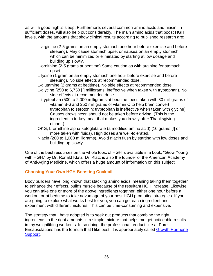as will a good night's sleep. Furthermore, several common amino acids and niacin, in sufficient doses, will also help out considerably. The main amino acids that boost HGH levels, with the amounts that show clinical results according to published research are:

- L-arginine (2-5 grams on an empty stomach one hour before exercise and before sleeping). May cause stomach upset or nausea on an empty stomach, which can be minimized or eliminated by starting at low dosage and building up slowly.
- L-ornithine (2-5 grams at bedtime) Same caution as with arginine for stomach upset.
- L-lysine (1 gram on an empty stomach one hour before exercise and before sleeping). No side effects at recommended dose.
- L-glutamine (2 grams at bedtime). No side effects at recommended dose.
- L-glycine (250 to 6,750 [!] milligrams; ineffective when taken with tryptophan). No side effects at recommended dose.
- L-tryptophan (500 to 2,000 milligrams at bedtime, best taken with 30 milligrams of vitamin B-6 and 250 milligrams of vitamin C to help brain convert tryptophan to serotonin; tryptophan is ineffective when taken with glycine). Causes drowsiness; should not be taken before driving. (This is the ingredient in turkey meat that makes you drowsy after Thanksgiving dinner.)
- OKG, L-ornithine alpha-ketoglutarate (a modified amino acid) (10 grams [!] or more taken with fluids). High doses are well-tolerated.
- Niacin (200 to 1,000 milligrams). Avoid niacin flush by starting with low doses and building up slowly.

One of the best resources on the whole topic of HGH is available in a book, "Grow Young with HGH," by Dr. Ronald Klatz. Dr. Klatz is also the founder of the American Academy of Anti-Aging Medicine, which offers a huge amount of information on this subject.

#### **Choosing Your Own HGH-Boosting Cocktail**

Body builders have long known that stacking amino acids, meaning taking them together to enhance their effects, builds muscle because of the resultant HGH increase. Likewise, you can take one or more of the above ingredients together, either one hour before a workout or at bedtime to take advantage of your best HGH promoting strategies. If you are going to explore what works best for you, you can get each ingredient and experiment with different mixtures. This can be time-consuming and expensive.

The strategy that I have adopted is to seek out products that combine the right ingredients in the right amounts in a simple mixture that helps me get noticeable results in my weightlifting workouts. In so doing, the professional product line at Pure Encapsulations has the formula that I like best. It is appropriately called [Growth Hormone](http://www.doctorsnutritioncenter.com/growth-hormone-support.html)  [Support.](http://www.doctorsnutritioncenter.com/growth-hormone-support.html)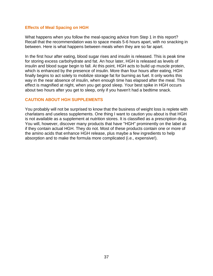#### **Effects of Meal Spacing on HGH**

What happens when you follow the meal-spacing advice from Step 1 in this report? Recall that the recommendation was to space meals 5-6 hours apart, with no snacking in between. Here is what happens between meals when they are so far apart.

In the first hour after eating, blood sugar rises and insulin is released. This is peak time for storing excess carbohydrate and fat. An hour later, HGH is released as levels of insulin and blood sugar begin to fall. At this point, HGH acts to build up muscle protein, which is enhanced by the presence of insulin. More than four hours after eating, HGH finally begins to act solely to mobilize storage fat for burning as fuel. It only works this way in the near absence of insulin, when enough time has elapsed after the meal. This effect is magnified at night, when you get good sleep. Your best spike in HGH occurs about two hours after you get to sleep, only if you haven't had a bedtime snack.

#### **CAUTION ABOUT HGH SUPPLEMENTS**

You probably will not be surprised to know that the business of weight loss is replete with charlatans and useless supplements. One thing I want to caution you about is that HGH is not available as a supplement at nutrition stores. It is classified as a prescription drug. You will, however, discover many products that have "HGH" prominently on the label as if they contain actual HGH. They do not. Most of these products contain one or more of the amino acids that enhance HGH release, plus maybe a few ingredients to help absorption and to make the formula more complicated (i.e., expensive!).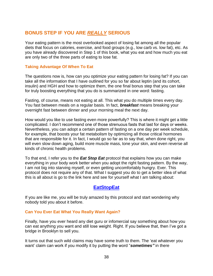# **BONUS STEP IF YOU ARE** *REALLY* **SERIOUS**

Your eating pattern is the most overlooked aspect of losing fat among all the popular diets that focus on calories, exercise, and food groups (e.g., low carb vs. low fat), etc. As you have already discovered in Step 1 of this book, what you eat and how much you eat are only two of the three parts of eating to lose fat.

#### **Taking Advantage Of When To Eat**

The questions now is, how can you optimize your eating pattern for losing fat? If you can take all the information that I have outlined for you so far about leptin (and its cohort, insulin) and HGH and how to optimize them, the one final bonus step that you can take for truly boosting everything that you do is summarized in one word: fasting.

Fasting, of course, means not eating at all. This what you do multiple times every day. You fast between meals on a regular basis. In fact, *breakfast* means breaking your overnight fast between dinner and your morning meal the next day.

How would you like to use fasting even more powerfully? This is where it might get a little complicated. I don"t recommend one of those strenuous fasts that last for days or weeks. Nevertheless, you can adopt a certain pattern of fasting on a one day per week schedule, for example, that boosts your fat metabolism by optimizing all those critical hormones that are responsible for it. In fact, I would go so far as to say that, when done right, you will even slow down aging, build more muscle mass, tone your skin, and even reverse all kinds of chronic health problems.

To that end, I refer you to the *Eat Stop Eat* protocol that explains how you can make everything in your body work better when you adopt the right fasting pattern. By the way, I am not big into starving myself, or even getting uncomfortably hungry. Ever. This protocol does not require any of that. What I suggest you do to get a better idea of what this is all about is go to the link here and see for yourself what I am talking about:

#### **[EatStopEat](http://b5472kmxm-t409pbbn-lrln11d.hop.clickbank.net/?tid=BELLYFATSCIENCE)**

If you are like me, you will be truly amazed by this protocol and start wondering why nobody told you about it before.

#### **Can You Ever Eat What You Really Want Again?**

Finally, have you ever heard any diet guru or infomercial say something about how you can eat anything you want and still lose weight. Right. If you believe that, then I"ve got a bridge in Brooklyn to sell you.

It turns out that such wild claims may have some truth to them. The "eat whatever you want" claim can work if you modify it by putting the word "*sometimes"* in there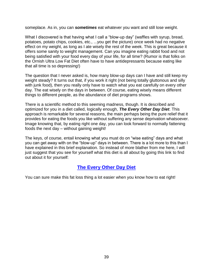someplace. As in, you can *sometimes* eat whatever you want and still lose weight.

What I discovered is that having what I call a "blow-up day" (waffles with syrup, bread, potatoes, potato chips, cookies, etc., ...you get the picture) once week had no negative effect on my weight, as long as I ate wisely the rest of the week. This is great because it offers some sanity to weight management. Can you imagine eating rabbit food and not being satisfied with your food every day of your life, for all time? (Rumor is that folks on the Ornish Ultra Low Fat Diet often have to have antidepressants because eating like that all time is so depressing!)

The question that I never asked is, how many blow-up days can I have and still keep my weight steady? It turns out that, if you work it right (not being totally gluttonous and silly with junk food), then you really only have to watch what you eat carefully on every other day. The eat wisely on the days in between. Of course, eating wisely means different things to different people, as the abundance of diet programs shows.

There is a scientific method to this seeming madness, though. It is described and optimized for you in a diet called, logically enough, *The Every Other Day Diet*. This approach is remarkable for several reasons, the main perhaps being the pure relief that it provides for eating the foods you like without suffering any sense deprivation whatsoever. Image knowing that, by eating right one day, you can look forward to normally fattening foods the next day – without gaining weight!

The keys, of course, entail knowing what you must do on "wise eating" days and what you can get away with on the "blow-up" days in between. There is a lot more to this than I have explained in this brief explanation. So instead of more blather from me here, I will just suggest that you see for yourself what this diet is all about by going this link to find out about it for yourself:

## **[The Every Other Day Diet](http://www.everyotherdaydiet.com/aff/fitscience?page=1tip)**

You can sure make this fat loss thing a lot easier when you know how to eat right!